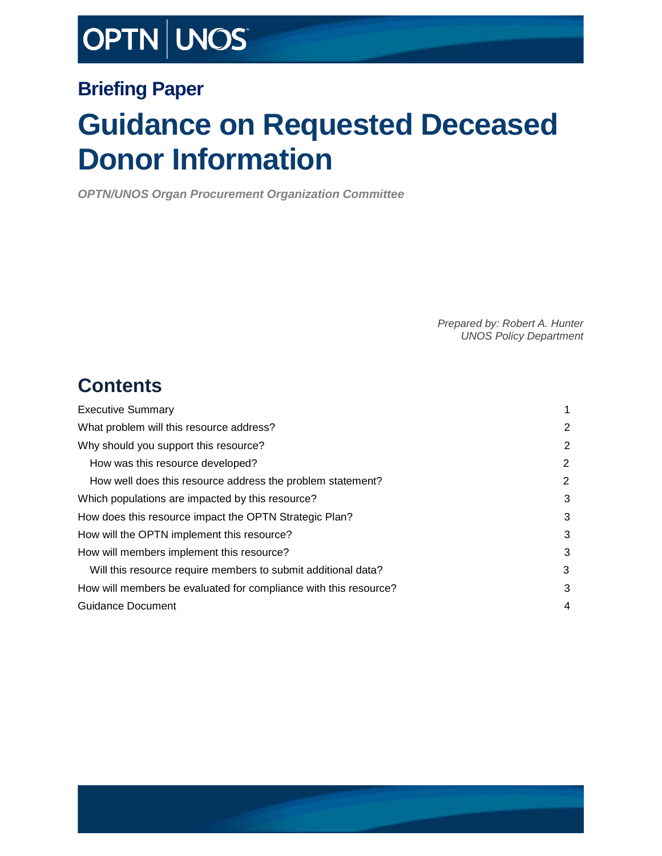# OPTN | UNOS

### **Briefing Paper**

# **Guidance on Requested Deceased Donor Information**

*OPTN/UNOS Organ Procurement Organization Committee*

*Prepared by: Robert A. Hunter UNOS Policy Department*

### **Contents**

| <b>Executive Summary</b>                                         |   |
|------------------------------------------------------------------|---|
| What problem will this resource address?                         | 2 |
| Why should you support this resource?                            | 2 |
| How was this resource developed?                                 | 2 |
| How well does this resource address the problem statement?       | 2 |
| Which populations are impacted by this resource?                 | 3 |
| How does this resource impact the OPTN Strategic Plan?           | 3 |
| How will the OPTN implement this resource?                       | 3 |
| How will members implement this resource?                        | 3 |
| Will this resource require members to submit additional data?    | 3 |
| How will members be evaluated for compliance with this resource? | 3 |
| <b>Guidance Document</b>                                         | 4 |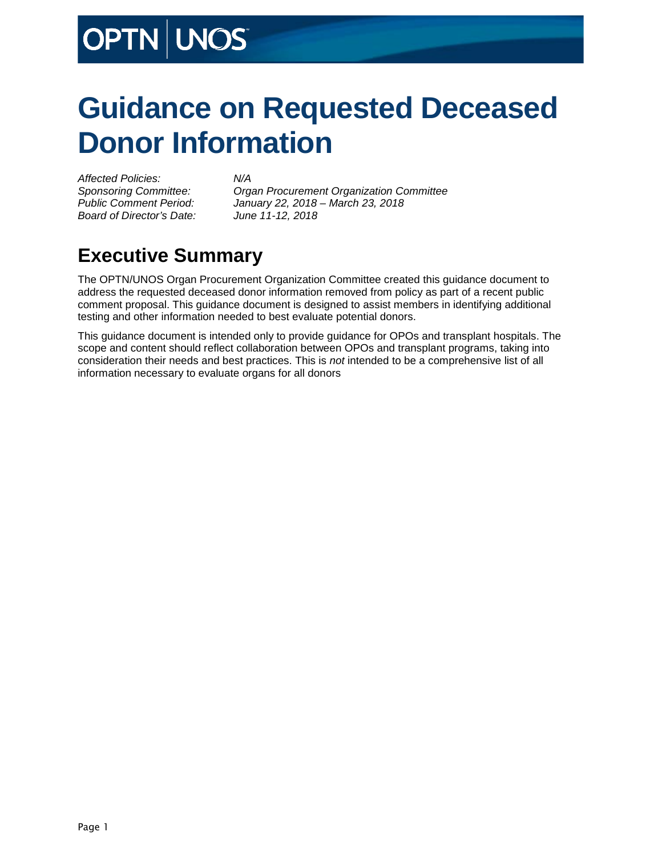# **OPTN WOST**

# **Guidance on Requested Deceased Donor Information**

*Affected Policies: N/A Board of Director's Date: June 11-12, 2018*

*Sponsoring Committee: Organ Procurement Organization Committee Public Comment Period: January 22, 2018 – March 23, 2018*

## <span id="page-1-0"></span>**Executive Summary**

The OPTN/UNOS Organ Procurement Organization Committee created this guidance document to address the requested deceased donor information removed from policy as part of a recent public comment proposal. This guidance document is designed to assist members in identifying additional testing and other information needed to best evaluate potential donors.

This guidance document is intended only to provide guidance for OPOs and transplant hospitals. The scope and content should reflect collaboration between OPOs and transplant programs, taking into consideration their needs and best practices. This is *not* intended to be a comprehensive list of all information necessary to evaluate organs for all donors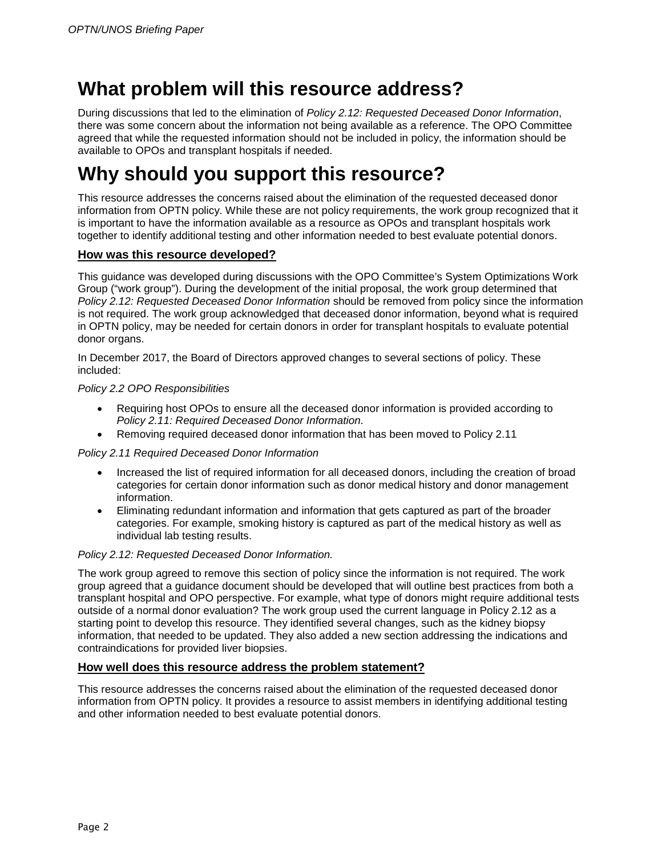### <span id="page-2-0"></span>**What problem will this resource address?**

During discussions that led to the elimination of *Policy 2.12: Requested Deceased Donor Information*, there was some concern about the information not being available as a reference. The OPO Committee agreed that while the requested information should not be included in policy, the information should be available to OPOs and transplant hospitals if needed.

## <span id="page-2-1"></span>**Why should you support this resource?**

This resource addresses the concerns raised about the elimination of the requested deceased donor information from OPTN policy. While these are not policy requirements, the work group recognized that it is important to have the information available as a resource as OPOs and transplant hospitals work together to identify additional testing and other information needed to best evaluate potential donors.

#### <span id="page-2-2"></span>**How was this resource developed?**

This guidance was developed during discussions with the OPO Committee's System Optimizations Work Group ("work group"). During the development of the initial proposal, the work group determined that *Policy 2.12: Requested Deceased Donor Information* should be removed from policy since the information is not required. The work group acknowledged that deceased donor information, beyond what is required in OPTN policy, may be needed for certain donors in order for transplant hospitals to evaluate potential donor organs.

In December 2017, the Board of Directors approved changes to several sections of policy. These included:

#### *Policy 2.2 OPO Responsibilities*

- Requiring host OPOs to ensure all the deceased donor information is provided according to *Policy 2.11: Required Deceased Donor Information*.
- Removing required deceased donor information that has been moved to Policy 2.11

#### *Policy 2.11 Required Deceased Donor Information*

- Increased the list of required information for all deceased donors, including the creation of broad categories for certain donor information such as donor medical history and donor management information.
- Eliminating redundant information and information that gets captured as part of the broader categories. For example, smoking history is captured as part of the medical history as well as individual lab testing results.

#### *Policy 2.12: Requested Deceased Donor Information.*

The work group agreed to remove this section of policy since the information is not required. The work group agreed that a guidance document should be developed that will outline best practices from both a transplant hospital and OPO perspective. For example, what type of donors might require additional tests outside of a normal donor evaluation? The work group used the current language in Policy 2.12 as a starting point to develop this resource. They identified several changes, such as the kidney biopsy information, that needed to be updated. They also added a new section addressing the indications and contraindications for provided liver biopsies.

#### <span id="page-2-3"></span>**How well does this resource address the problem statement?**

This resource addresses the concerns raised about the elimination of the requested deceased donor information from OPTN policy. It provides a resource to assist members in identifying additional testing and other information needed to best evaluate potential donors.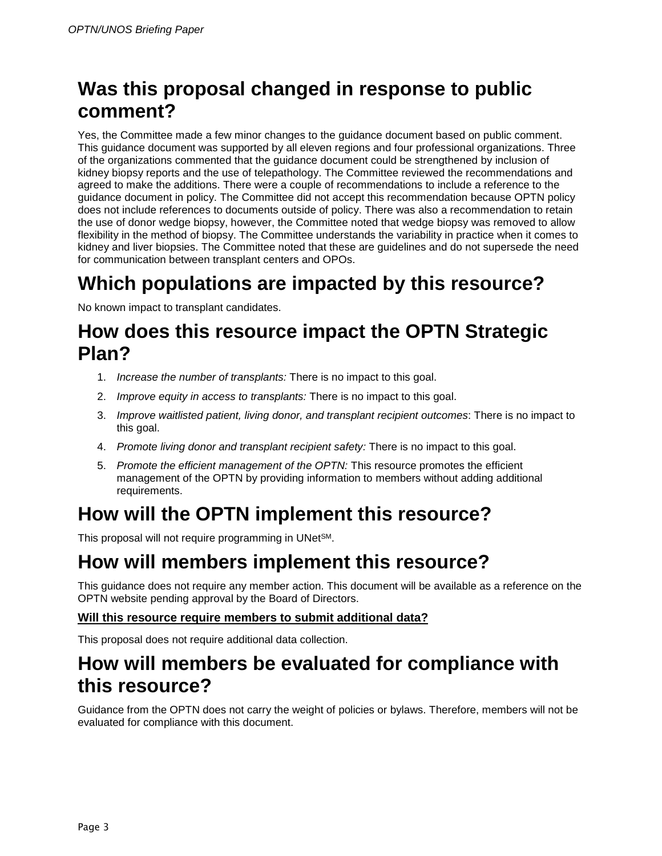## **Was this proposal changed in response to public comment?**

Yes, the Committee made a few minor changes to the guidance document based on public comment. This guidance document was supported by all eleven regions and four professional organizations. Three of the organizations commented that the guidance document could be strengthened by inclusion of kidney biopsy reports and the use of telepathology. The Committee reviewed the recommendations and agreed to make the additions. There were a couple of recommendations to include a reference to the guidance document in policy. The Committee did not accept this recommendation because OPTN policy does not include references to documents outside of policy. There was also a recommendation to retain the use of donor wedge biopsy, however, the Committee noted that wedge biopsy was removed to allow flexibility in the method of biopsy. The Committee understands the variability in practice when it comes to kidney and liver biopsies. The Committee noted that these are guidelines and do not supersede the need for communication between transplant centers and OPOs.

## <span id="page-3-0"></span>**Which populations are impacted by this resource?**

No known impact to transplant candidates.

### <span id="page-3-1"></span>**How does this resource impact the OPTN Strategic Plan?**

- 1. *Increase the number of transplants:* There is no impact to this goal.
- 2. *Improve equity in access to transplants:* There is no impact to this goal.
- 3. *Improve waitlisted patient, living donor, and transplant recipient outcomes*: There is no impact to this goal.
- 4. *Promote living donor and transplant recipient safety:* There is no impact to this goal.
- 5. *Promote the efficient management of the OPTN:* This resource promotes the efficient management of the OPTN by providing information to members without adding additional requirements.

## <span id="page-3-2"></span>**How will the OPTN implement this resource?**

This proposal will not require programming in UNetSM.

## <span id="page-3-3"></span>**How will members implement this resource?**

This guidance does not require any member action. This document will be available as a reference on the OPTN website pending approval by the Board of Directors.

#### <span id="page-3-4"></span>**Will this resource require members to submit additional data?**

This proposal does not require additional data collection.

### <span id="page-3-5"></span>**How will members be evaluated for compliance with this resource?**

Guidance from the OPTN does not carry the weight of policies or bylaws. Therefore, members will not be evaluated for compliance with this document.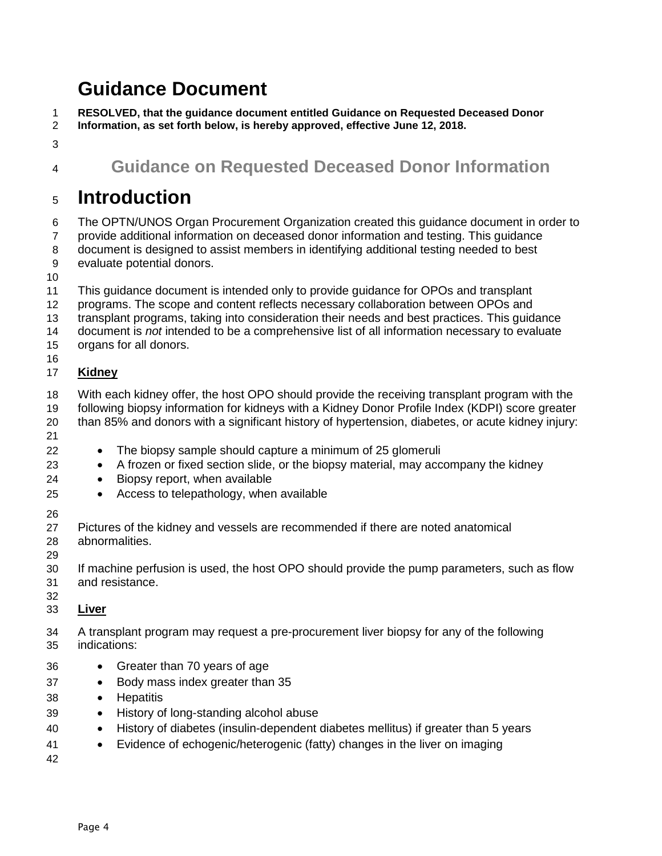## <span id="page-4-0"></span>**Guidance Document**

**RESOLVED, that the guidance document entitled Guidance on Requested Deceased Donor** 

- **Information, as set forth below, is hereby approved, effective June 12, 2018.**
- 
- 
- 

### **Guidance on Requested Deceased Donor Information**

### **Introduction**

 The OPTN/UNOS Organ Procurement Organization created this guidance document in order to provide additional information on deceased donor information and testing. This guidance

document is designed to assist members in identifying additional testing needed to best

evaluate potential donors.

- 
- This guidance document is intended only to provide guidance for OPOs and transplant
- programs. The scope and content reflects necessary collaboration between OPOs and
- transplant programs, taking into consideration their needs and best practices. This guidance
- document is *not* intended to be a comprehensive list of all information necessary to evaluate
- organs for all donors.

#### **Kidney**

- With each kidney offer, the host OPO should provide the receiving transplant program with the
- following biopsy information for kidneys with a Kidney Donor Profile Index (KDPI) score greater than 85% and donors with a significant history of hypertension, diabetes, or acute kidney injury:
- 
- The biopsy sample should capture a minimum of 25 glomeruli
- A frozen or fixed section slide, or the biopsy material, may accompany the kidney
- Biopsy report, when available
- Access to telepathology, when available
- 
- 27 Pictures of the kidney and vessels are recommended if there are noted anatomical<br>28 abnormalities. abnormalities.
- 
- If machine perfusion is used, the host OPO should provide the pump parameters, such as flow and resistance.
- 
- **Liver**
- A transplant program may request a pre-procurement liver biopsy for any of the following indications:
- Greater than 70 years of age
- Body mass index greater than 35
- Hepatitis
- History of long-standing alcohol abuse
- History of diabetes (insulin-dependent diabetes mellitus) if greater than 5 years
- Evidence of echogenic/heterogenic (fatty) changes in the liver on imaging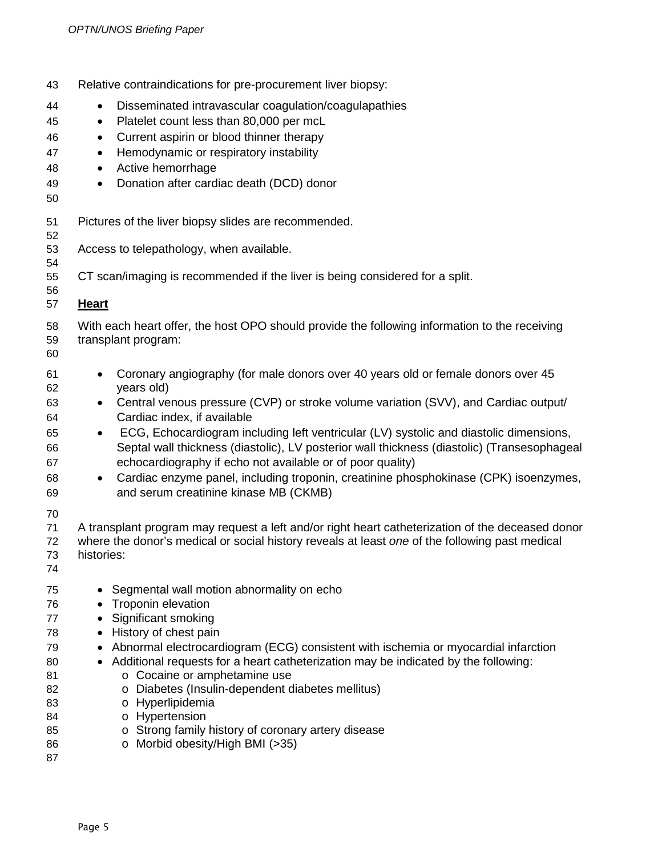| 43<br>44<br>45<br>46<br>47<br>48<br>49<br>50                                                 | Relative contraindications for pre-procurement liver biopsy:<br>Disseminated intravascular coagulation/coagulapathies<br>$\bullet$<br>Platelet count less than 80,000 per mcL<br>$\bullet$<br>Current aspirin or blood thinner therapy<br>$\bullet$<br>Hemodynamic or respiratory instability<br>$\bullet$<br>Active hemorrhage<br>$\bullet$<br>Donation after cardiac death (DCD) donor<br>$\bullet$                                                                                                                                                                                                                                                                                                                                                                                                                                                                           |
|----------------------------------------------------------------------------------------------|---------------------------------------------------------------------------------------------------------------------------------------------------------------------------------------------------------------------------------------------------------------------------------------------------------------------------------------------------------------------------------------------------------------------------------------------------------------------------------------------------------------------------------------------------------------------------------------------------------------------------------------------------------------------------------------------------------------------------------------------------------------------------------------------------------------------------------------------------------------------------------|
| 51<br>52<br>53<br>54<br>55<br>56<br>57                                                       | Pictures of the liver biopsy slides are recommended.<br>Access to telepathology, when available.<br>CT scan/imaging is recommended if the liver is being considered for a split.<br><b>Heart</b>                                                                                                                                                                                                                                                                                                                                                                                                                                                                                                                                                                                                                                                                                |
| 58<br>59<br>60<br>61<br>62<br>63<br>64<br>65<br>66<br>67<br>68<br>69<br>70<br>71             | With each heart offer, the host OPO should provide the following information to the receiving<br>transplant program:<br>Coronary angiography (for male donors over 40 years old or female donors over 45<br>$\bullet$<br>years old)<br>Central venous pressure (CVP) or stroke volume variation (SVV), and Cardiac output/<br>Cardiac index, if available<br>ECG, Echocardiogram including left ventricular (LV) systolic and diastolic dimensions,<br>$\bullet$<br>Septal wall thickness (diastolic), LV posterior wall thickness (diastolic) (Transesophageal<br>echocardiography if echo not available or of poor quality)<br>Cardiac enzyme panel, including troponin, creatinine phosphokinase (CPK) isoenzymes,<br>$\bullet$<br>and serum creatinine kinase MB (CKMB)<br>A transplant program may request a left and/or right heart catheterization of the deceased donor |
| 72<br>73<br>74<br>75<br>76<br>77<br>78<br>79<br>80<br>81<br>82<br>83<br>84<br>85<br>86<br>87 | where the donor's medical or social history reveals at least one of the following past medical<br>histories:<br>• Segmental wall motion abnormality on echo<br><b>Troponin elevation</b><br>Significant smoking<br>History of chest pain<br>$\bullet$<br>• Abnormal electrocardiogram (ECG) consistent with ischemia or myocardial infarction<br>Additional requests for a heart catheterization may be indicated by the following:<br>o Cocaine or amphetamine use<br>Diabetes (Insulin-dependent diabetes mellitus)<br>$\circ$<br>o Hyperlipidemia<br>o Hypertension<br>o Strong family history of coronary artery disease<br>o Morbid obesity/High BMI (>35)                                                                                                                                                                                                                 |